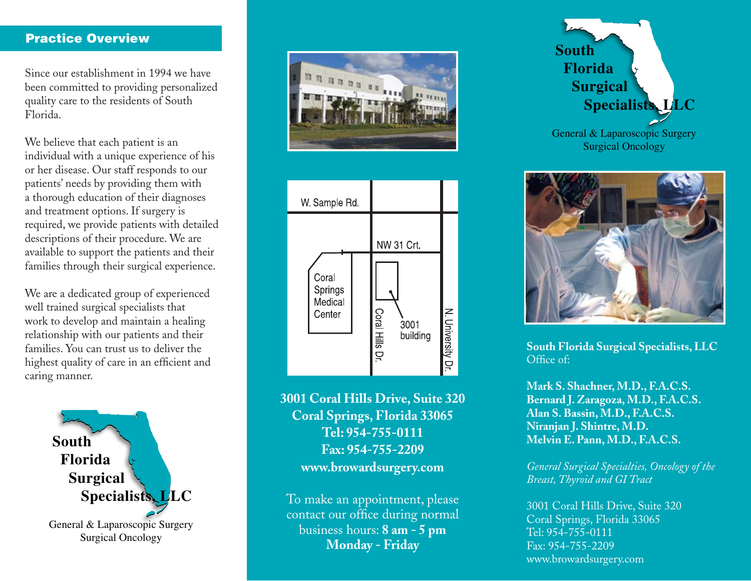# Practice Overview

Since our establishment in 1994 we have been committed to providing personalized quality care to the residents of South Florida.

We believe that each patient is an individual with a unique experience of his or her disease. Our staff responds to our patients' needs by providing them with a thorough education of their diagnoses and treatment options. If surgery is required, we provide patients with detailed descriptions of their procedure. We are available to support the patients and their families through their surgical experience.

We are a dedicated group of experienced well trained surgical specialists that work to develop and maintain a healing relationship with our patients and their families. You can trust us to deliver the highest quality of care in an efficient and caring manner.







**3001 Coral Hills Drive, Suite 320 Coral Springs, Florida 33065 Tel: 954-755-0111 Fax: 954-755-2209 www.browardsurgery.com**

To make an appointment, please contact our office during normal business hours: **8 am - 5 pm Monday - Friday**





**South Florida Surgical Specialists, LLC** Office of:

**Mark S. Shachner, M.D., F.A.C.S. Bernard J. Zaragoza, M.D., F.A.C.S. Alan S. Bassin, M.D., F.A.C.S. Niranjan J. Shintre, M.D. Melvin E. Pann, M.D., F.A.C.S.**

*General Surgical Specialties, Oncology of the Breast, Thyroid and GI Tract*

3001 Coral Hills Drive, Suite 320 Coral Springs, Florida 33065 Tel: 954-755-0111 Fax: 954-755-2209 www.browardsurgery.com